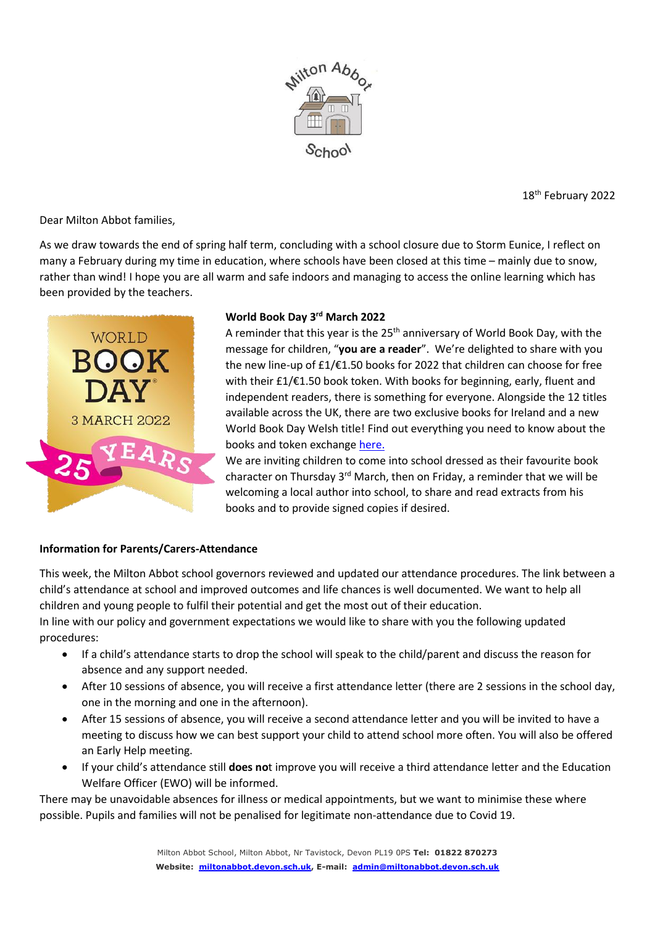

18th February 2022

Dear Milton Abbot families,

As we draw towards the end of spring half term, concluding with a school closure due to Storm Eunice, I reflect on many a February during my time in education, where schools have been closed at this time – mainly due to snow, rather than wind! I hope you are all warm and safe indoors and managing to access the online learning which has been provided by the teachers.



## **World Book Day 3 rd March 2022**

A reminder that this year is the 25<sup>th</sup> anniversary of World Book Day, with the message for children, "**you are a reader**". We're delighted to share with you the new line-up of £1/€1.50 books for 2022 that children can choose for free with their £1/€1.50 book token. With books for beginning, early, fluent and independent readers, there is something for everyone. Alongside the 12 titles available across the UK, there are two exclusive books for Ireland and a new World Book Day Welsh title! Find out everything you need to know about the books and token exchang[e here.](https://www.worldbookday.com/resource/schools-nurseries-world-book-days-1-e1-50-books-information-sheet/)

We are inviting children to come into school dressed as their favourite book character on Thursday  $3^{rd}$  March, then on Friday, a reminder that we will be welcoming a local author into school, to share and read extracts from his books and to provide signed copies if desired.

### **Information for Parents/Carers-Attendance**

This week, the Milton Abbot school governors reviewed and updated our attendance procedures. The link between a child's attendance at school and improved outcomes and life chances is well documented. We want to help all children and young people to fulfil their potential and get the most out of their education. In line with our policy and government expectations we would like to share with you the following updated procedures:

- If a child's attendance starts to drop the school will speak to the child/parent and discuss the reason for absence and any support needed.
- After 10 sessions of absence, you will receive a first attendance letter (there are 2 sessions in the school day, one in the morning and one in the afternoon).
- After 15 sessions of absence, you will receive a second attendance letter and you will be invited to have a meeting to discuss how we can best support your child to attend school more often. You will also be offered an Early Help meeting.
- If your child's attendance still **does no**t improve you will receive a third attendance letter and the Education Welfare Officer (EWO) will be informed.

There may be unavoidable absences for illness or medical appointments, but we want to minimise these where possible. Pupils and families will not be penalised for legitimate non-attendance due to Covid 19.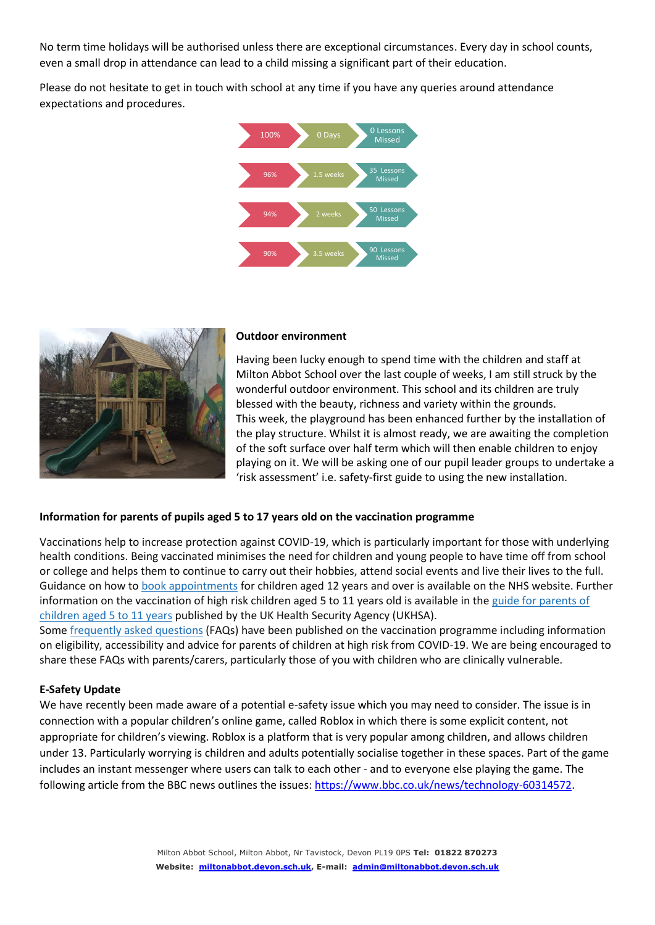No term time holidays will be authorised unless there are exceptional circumstances. Every day in school counts, even a small drop in attendance can lead to a child missing a significant part of their education.

Please do not hesitate to get in touch with school at any time if you have any queries around attendance expectations and procedures.





#### **Outdoor environment**

Having been lucky enough to spend time with the children and staff at Milton Abbot School over the last couple of weeks, I am still struck by the wonderful outdoor environment. This school and its children are truly blessed with the beauty, richness and variety within the grounds. This week, the playground has been enhanced further by the installation of the play structure. Whilst it is almost ready, we are awaiting the completion of the soft surface over half term which will then enable children to enjoy playing on it. We will be asking one of our pupil leader groups to undertake a 'risk assessment' i.e. safety-first guide to using the new installation.

#### **Information for parents of pupils aged 5 to 17 years old on the vaccination programme**

Vaccinations help to increase protection against COVID-19, which is particularly important for those with underlying health conditions. Being vaccinated minimises the need for children and young people to have time off from school or college and helps them to continue to carry out their hobbies, attend social events and live their lives to the full. Guidance on how to book [appointments](https://eur03.safelinks.protection.outlook.com/?url=https%3A%2F%2Fwww.nhs.uk%2Fconditions%2Fcoronavirus-covid-19%2Fcoronavirus-vaccination%2Fbook-coronavirus-vaccination%2F%3Futm_source%3D16%2520February%25202022%2520C19%26utm_medium%3DDaily%2520Email%2520C19%26utm_campaign%3DDfE%2520C19&data=04%7C01%7Ceunderwood%40dmatschools.org.uk%7C4f60235559594642dfaf08d9f1354130%7C3b076d9078b24abd9e05c20f26289c46%7C0%7C0%7C637806033890624726%7CUnknown%7CTWFpbGZsb3d8eyJWIjoiMC4wLjAwMDAiLCJQIjoiV2luMzIiLCJBTiI6Ik1haWwiLCJXVCI6Mn0%3D%7C3000&sdata=T8%2F85SVYAlrKz5IwhrenrQC9A0sjAjZjdeZkp%2BLpoyo%3D&reserved=0) for children aged 12 years and over is available on the NHS website. Further information on the vaccination of high risk children aged 5 to 11 years old is available in the guide for [parents](https://eur03.safelinks.protection.outlook.com/?url=https%3A%2F%2Fwww.gov.uk%2Fgovernment%2Fpublications%2Fcovid-19-vaccination-resources-for-children-aged-5-to-11-years%2Fa-guide-for-parents-of-children-aged-5-to-11-years-of-age-at-high-risk%3Futm_source%3D16%2520February%25202022%2520C19%26utm_medium%3DDaily%2520Email%2520C19%26utm_campaign%3DDfE%2520C19%23how-to-book-your-appointment%2F&data=04%7C01%7Ceunderwood%40dmatschools.org.uk%7C4f60235559594642dfaf08d9f1354130%7C3b076d9078b24abd9e05c20f26289c46%7C0%7C0%7C637806033890624726%7CUnknown%7CTWFpbGZsb3d8eyJWIjoiMC4wLjAwMDAiLCJQIjoiV2luMzIiLCJBTiI6Ik1haWwiLCJXVCI6Mn0%3D%7C3000&sdata=CLNlWamNGmYdjFSJ7h2tNByGEEbfZxJr4bzrrZ5M%2B%2BA%3D&reserved=0) of [children](https://eur03.safelinks.protection.outlook.com/?url=https%3A%2F%2Fwww.gov.uk%2Fgovernment%2Fpublications%2Fcovid-19-vaccination-resources-for-children-aged-5-to-11-years%2Fa-guide-for-parents-of-children-aged-5-to-11-years-of-age-at-high-risk%3Futm_source%3D16%2520February%25202022%2520C19%26utm_medium%3DDaily%2520Email%2520C19%26utm_campaign%3DDfE%2520C19%23how-to-book-your-appointment%2F&data=04%7C01%7Ceunderwood%40dmatschools.org.uk%7C4f60235559594642dfaf08d9f1354130%7C3b076d9078b24abd9e05c20f26289c46%7C0%7C0%7C637806033890624726%7CUnknown%7CTWFpbGZsb3d8eyJWIjoiMC4wLjAwMDAiLCJQIjoiV2luMzIiLCJBTiI6Ik1haWwiLCJXVCI6Mn0%3D%7C3000&sdata=CLNlWamNGmYdjFSJ7h2tNByGEEbfZxJr4bzrrZ5M%2B%2BA%3D&reserved=0) aged 5 to 11 years published by the UK Health Security Agency (UKHSA).

Some [frequently](https://eur03.safelinks.protection.outlook.com/?url=https%3A%2F%2Feducationhub.blog.gov.uk%2F2022%2F02%2F11%2Fvaccinations-for-clinically-vulnerable-children-and-young-people-your-questions-answered%2F%3Futm_source%3D16%2520February%25202022%2520C19%26utm_medium%3DDaily%2520Email%2520C19%26utm_campaign%3DDfE%2520C19&data=04%7C01%7Ceunderwood%40dmatschools.org.uk%7C4f60235559594642dfaf08d9f1354130%7C3b076d9078b24abd9e05c20f26289c46%7C0%7C0%7C637806033890624726%7CUnknown%7CTWFpbGZsb3d8eyJWIjoiMC4wLjAwMDAiLCJQIjoiV2luMzIiLCJBTiI6Ik1haWwiLCJXVCI6Mn0%3D%7C3000&sdata=3eku1ooaj0KIXqh0%2FWAXEovQcHWNB5Vzo0axSTRl1xY%3D&reserved=0) asked questions (FAQs) have been published on the vaccination programme including information on eligibility, accessibility and advice for parents of children at high risk from COVID-19. We are being encouraged to share these FAQs with parents/carers, particularly those of you with children who are clinically vulnerable.

#### **E-Safety Update**

We have recently been made aware of a potential e-safety issue which you may need to consider. The issue is in connection with a popular children's online game, called Roblox in which there is some explicit content, not appropriate for children's viewing. Roblox is a platform that is very popular among children, and allows children under 13. Particularly worrying is children and adults potentially socialise together in these spaces. Part of the game includes an instant messenger where users can talk to each other - and to everyone else playing the game. The following article from the BBC news outlines the issues: [https://www.bbc.co.uk/news/technology-60314572.](https://www.bbc.co.uk/news/technology-60314572)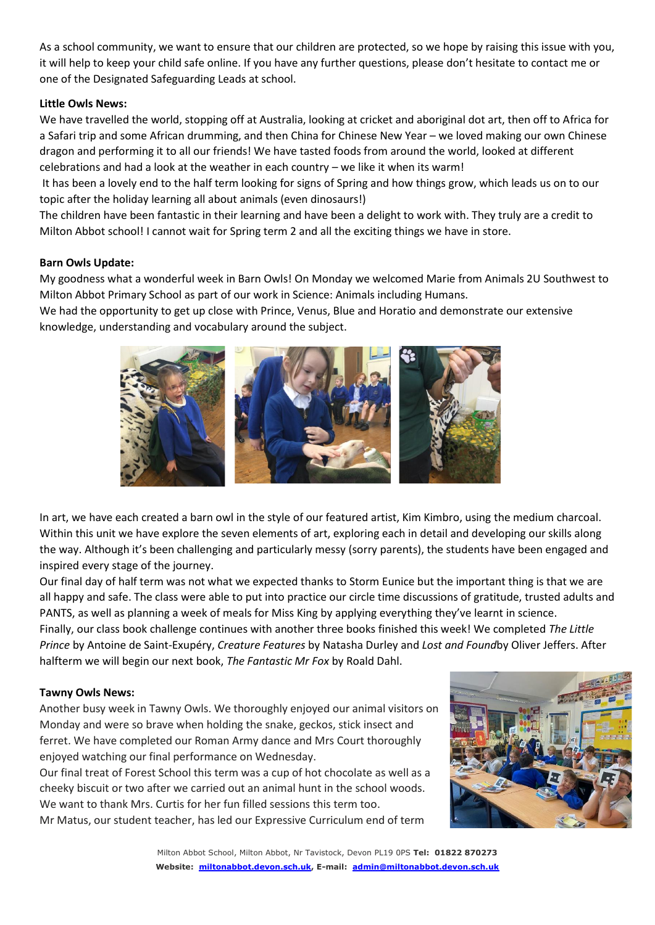As a school community, we want to ensure that our children are protected, so we hope by raising this issue with you, it will help to keep your child safe online. If you have any further questions, please don't hesitate to contact me or one of the Designated Safeguarding Leads at school.

#### **Little Owls News:**

We have travelled the world, stopping off at Australia, looking at cricket and aboriginal dot art, then off to Africa for a Safari trip and some African drumming, and then China for Chinese New Year – we loved making our own Chinese dragon and performing it to all our friends! We have tasted foods from around the world, looked at different celebrations and had a look at the weather in each country – we like it when its warm!

It has been a lovely end to the half term looking for signs of Spring and how things grow, which leads us on to our topic after the holiday learning all about animals (even dinosaurs!)

The children have been fantastic in their learning and have been a delight to work with. They truly are a credit to Milton Abbot school! I cannot wait for Spring term 2 and all the exciting things we have in store.

#### **Barn Owls Update:**

My goodness what a wonderful week in Barn Owls! On Monday we welcomed Marie from Animals 2U Southwest to Milton Abbot Primary School as part of our work in Science: Animals including Humans.

We had the opportunity to get up close with Prince, Venus, Blue and Horatio and demonstrate our extensive knowledge, understanding and vocabulary around the subject.



In art, we have each created a barn owl in the style of our featured artist, Kim Kimbro, using the medium charcoal. Within this unit we have explore the seven elements of art, exploring each in detail and developing our skills along the way. Although it's been challenging and particularly messy (sorry parents), the students have been engaged and inspired every stage of the journey.

Our final day of half term was not what we expected thanks to Storm Eunice but the important thing is that we are all happy and safe. The class were able to put into practice our circle time discussions of gratitude, trusted adults and PANTS, as well as planning a week of meals for Miss King by applying everything they've learnt in science.

Finally, our class book challenge continues with another three books finished this week! We completed *The Little Prince* by Antoine de Saint-Exupéry, *Creature Features* by Natasha Durley and *Lost and Found*by Oliver Jeffers. After halfterm we will begin our next book, *The Fantastic Mr Fox* by Roald Dahl.

#### **Tawny Owls News:**

Another busy week in Tawny Owls. We thoroughly enjoyed our animal visitors on Monday and were so brave when holding the snake, geckos, stick insect and ferret. We have completed our Roman Army dance and Mrs Court thoroughly enjoyed watching our final performance on Wednesday.

Our final treat of Forest School this term was a cup of hot chocolate as well as a cheeky biscuit or two after we carried out an animal hunt in the school woods. We want to thank Mrs. Curtis for her fun filled sessions this term too. Mr Matus, our student teacher, has led our Expressive Curriculum end of term

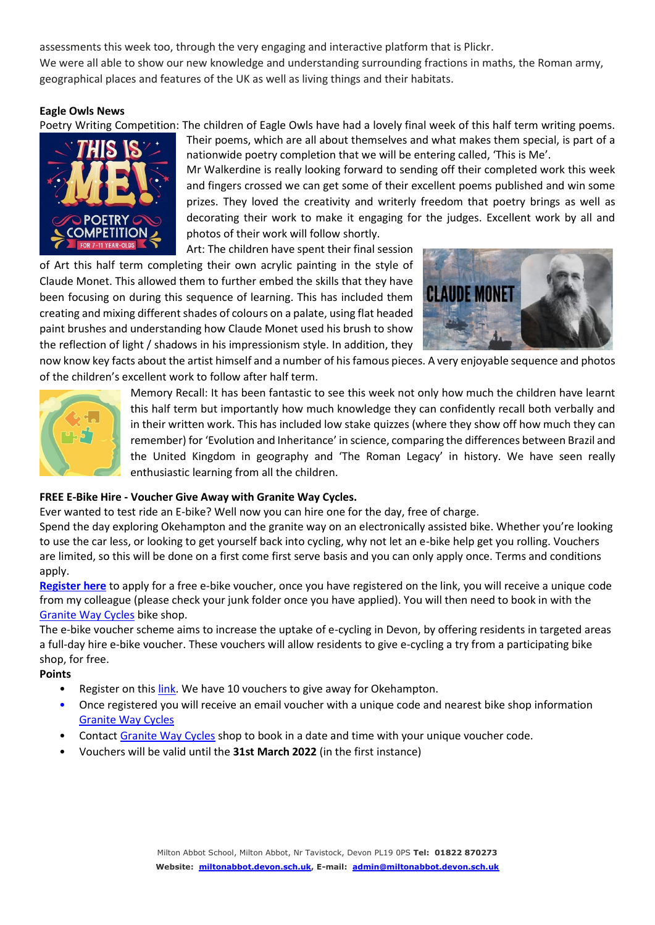assessments this week too, through the very engaging and interactive platform that is Plickr. We were all able to show our new knowledge and understanding surrounding fractions in maths, the Roman army, geographical places and features of the UK as well as living things and their habitats.

#### **Eagle Owls News**

Poetry Writing Competition: The children of Eagle Owls have had a lovely final week of this half term writing poems.



Their poems, which are all about themselves and what makes them special, is part of a nationwide poetry completion that we will be entering called, 'This is Me'.

Mr Walkerdine is really looking forward to sending off their completed work this week and fingers crossed we can get some of their excellent poems published and win some prizes. They loved the creativity and writerly freedom that poetry brings as well as decorating their work to make it engaging for the judges. Excellent work by all and photos of their work will follow shortly.

Art: The children have spent their final session

of Art this half term completing their own acrylic painting in the style of Claude Monet. This allowed them to further embed the skills that they have been focusing on during this sequence of learning. This has included them creating and mixing different shades of colours on a palate, using flat headed paint brushes and understanding how Claude Monet used his brush to show the reflection of light / shadows in his impressionism style. In addition, they



now know key facts about the artist himself and a number of his famous pieces. A very enjoyable sequence and photos of the children's excellent work to follow after half term.



Memory Recall: It has been fantastic to see this week not only how much the children have learnt this half term but importantly how much knowledge they can confidently recall both verbally and in their written work. This has included low stake quizzes (where they show off how much they can remember) for 'Evolution and Inheritance' in science, comparing the differences between Brazil and the United Kingdom in geography and 'The Roman Legacy' in history. We have seen really enthusiastic learning from all the children.

### **FREE E-Bike Hire - Voucher Give Away with Granite Way Cycles.**

Ever wanted to test ride an E-bike? Well now you can hire one for the day, free of charge.

Spend the day exploring Okehampton and the granite way on an electronically assisted bike. Whether you're looking to use the car less, or looking to get yourself back into cycling, why not let an e-bike help get you rolling. Vouchers are limited, so this will be done on a first come first serve basis and you can only apply once. Terms and conditions apply.

**[Register here](https://forms.office.com/Pages/ResponsePage.aspx?id=e3lJSjfp50CyGJEK33KRdrK18oiprVxHgo3Qwo8BDpRUNTdPRTQ2UUxTWjU5UEZQOVpXMEZUN1lKOS4u)** to apply for a free e-bike voucher, once you have registered on the link, you will receive a unique code from my colleague (please check your junk folder once you have applied). You will then need to book in with the [Granite Way Cycles](http://www.granitewaycycles.co.uk/) bike shop.

The e-bike voucher scheme aims to increase the uptake of e-cycling in Devon, by offering residents in targeted areas a full-day hire e-bike voucher. These vouchers will allow residents to give e-cycling a try from a participating bike shop, for free.

#### **Points**

- Register on this [link.](https://forms.office.com/Pages/ResponsePage.aspx?id=e3lJSjfp50CyGJEK33KRdrK18oiprVxHgo3Qwo8BDpRUNTdPRTQ2UUxTWjU5UEZQOVpXMEZUN1lKOS4u) We have 10 vouchers to give away for Okehampton.
- Once registered you will receive an email voucher with a unique code and nearest bike shop information [Granite Way Cycles](http://www.granitewaycycles.co.uk/)
- Contact [Granite Way Cycles](http://www.granitewaycycles.co.uk/) shop to book in a date and time with your unique voucher code.
- Vouchers will be valid until the **31st March 2022** (in the first instance)